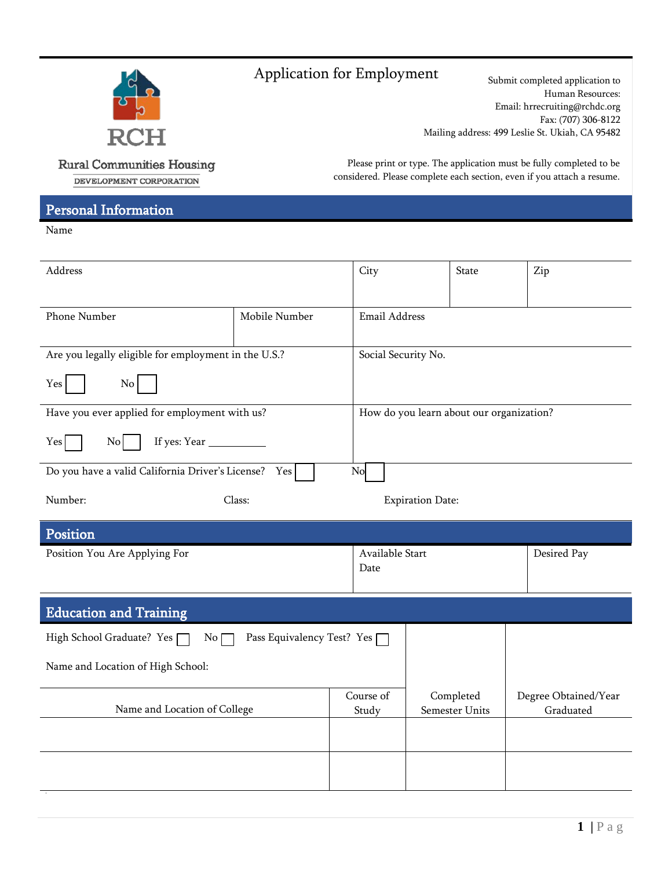

# Application for Employment Submit completed application to

Human Resources: Email: hrrecruiting@rchdc.org Fax: (707) 306-8122 Mailing address: 499 L[eslie St. Ukiah, CA](mailto:hrrecruiting@rchdc.org) 95482

**Rural Communities Housing** DEVELOPMENT CORPORATION

Please print or type. The application must be fully completed to be considered. Please complete each section, even if you attach a resume.

### Personal Information

Name

| Address                                                       |                            | City                    | <b>State</b>                             | Zip                               |  |  |
|---------------------------------------------------------------|----------------------------|-------------------------|------------------------------------------|-----------------------------------|--|--|
| Phone Number<br>Mobile Number                                 |                            |                         | Email Address                            |                                   |  |  |
| Are you legally eligible for employment in the U.S.?          |                            |                         | Social Security No.                      |                                   |  |  |
| Yes<br>No                                                     |                            |                         |                                          |                                   |  |  |
| Have you ever applied for employment with us?                 |                            |                         | How do you learn about our organization? |                                   |  |  |
| Yes<br>$\overline{N_0}$                                       |                            |                         |                                          |                                   |  |  |
| Do you have a valid California Driver's License?<br>No<br>Yes |                            |                         |                                          |                                   |  |  |
| Number:                                                       | Class:                     |                         | <b>Expiration Date:</b>                  |                                   |  |  |
| Position                                                      |                            |                         |                                          |                                   |  |  |
| Position You Are Applying For                                 |                            | Available Start<br>Date |                                          | Desired Pay                       |  |  |
| <b>Education and Training</b>                                 |                            |                         |                                          |                                   |  |  |
| High School Graduate? Yes [<br>No [                           | Pass Equivalency Test? Yes |                         |                                          |                                   |  |  |
| Name and Location of High School:                             |                            |                         |                                          |                                   |  |  |
| Name and Location of College                                  |                            | Course of<br>Study      | Completed<br>Semester Units              | Degree Obtained/Year<br>Graduated |  |  |
|                                                               |                            |                         |                                          |                                   |  |  |
|                                                               |                            |                         |                                          |                                   |  |  |
|                                                               |                            |                         |                                          |                                   |  |  |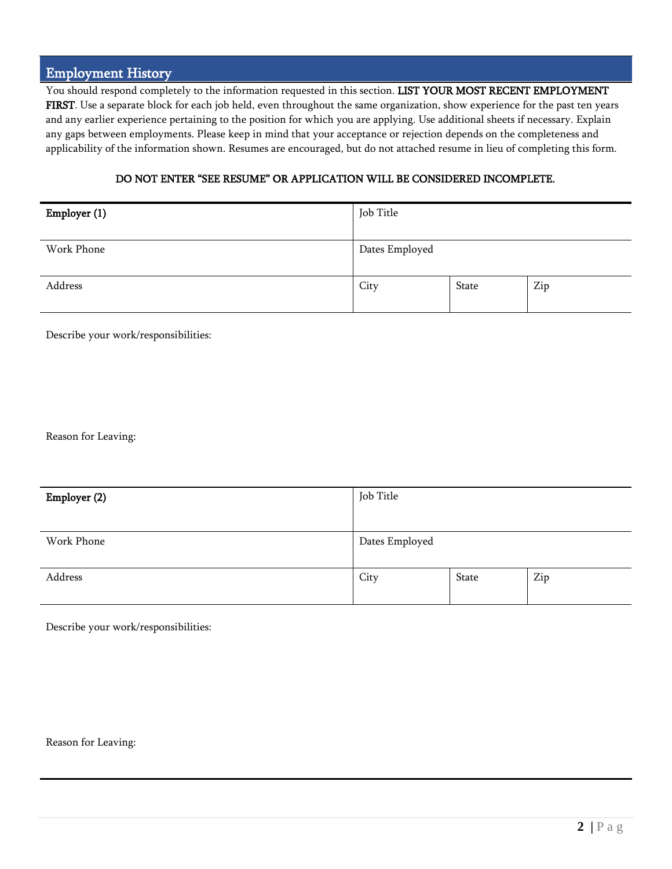#### Employment History

You should respond completely to the information requested in this section. LIST YOUR MOST RECENT EMPLOYMENT FIRST. Use a separate block for each job held, even throughout the same organization, show experience for the past ten years and any earlier experience pertaining to the position for which you are applying. Use additional sheets if necessary. Explain any gaps between employments. Please keep in mind that your acceptance or rejection depends on the completeness and applicability of the information shown. Resumes are encouraged, but do not attached resume in lieu of completing this form.

#### DO NOT ENTER "SEE RESUME" OR APPLICATION WILL BE CONSIDERED INCOMPLETE.

| Employer (1) | Job Title      |       |     |
|--------------|----------------|-------|-----|
| Work Phone   | Dates Employed |       |     |
|              |                |       |     |
|              |                |       |     |
| Address      | City           | State | Zip |
|              |                |       |     |

Describe your work/responsibilities:

Reason for Leaving:

| Employer (2) | Job Title      |       |     |
|--------------|----------------|-------|-----|
|              |                |       |     |
| Work Phone   | Dates Employed |       |     |
| Address      | City           | State | Zip |

Describe your work/responsibilities:

Reason for Leaving: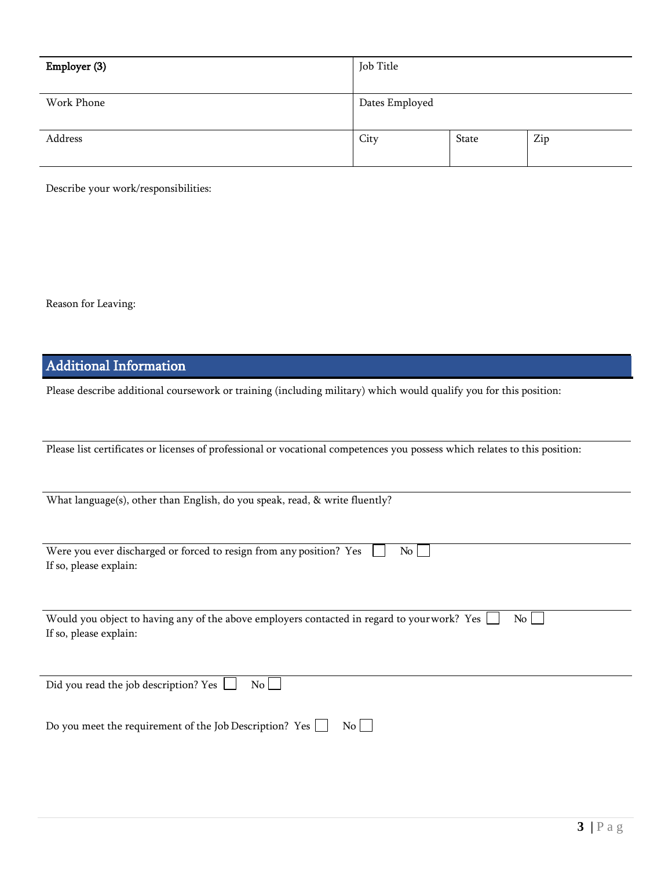| Employer (3) | Job Title      |       |     |
|--------------|----------------|-------|-----|
| Work Phone   | Dates Employed |       |     |
| Address      | City           | State | Zip |

Describe your work/responsibilities:

Reason for Leaving:

## Additional Information

Please describe additional coursework or training (including military) which would qualify you for this position:

Please list certificates or licenses of professional or vocational competences you possess which relates to this position:

What language(s), other than English, do you speak, read, & write fluently?

| Were you ever discharged or forced to resign from any position? Yes $\Box$ No $\Box$ |  |  |  |
|--------------------------------------------------------------------------------------|--|--|--|
| If so, please explain:                                                               |  |  |  |

Would you object to having any of the above employers contacted in regard to your work? Yes  $\Box$  No  $\Box$ If so, please explain:

Did you read the job description? Yes  $\Box$  No  $\Box$ 

Do you meet the requirement of the Job Description? Yes  $\hfill\Box\quad$  No  $\hfill\Box$